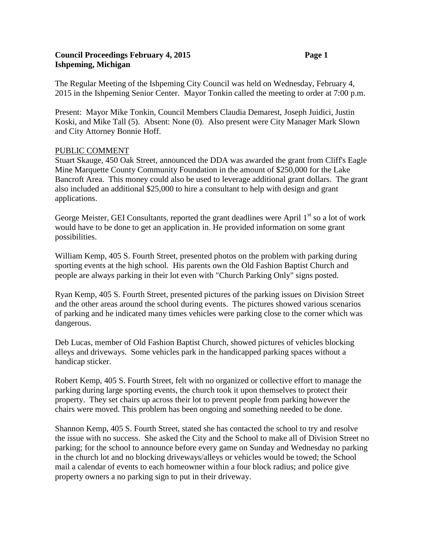## **Council Proceedings February 4, 2015 Page 1 Ishpeming, Michigan**

The Regular Meeting of the Ishpeming City Council was held on Wednesday, February 4, 2015 in the Ishpeming Senior Center. Mayor Tonkin called the meeting to order at 7:00 p.m.

Present: Mayor Mike Tonkin, Council Members Claudia Demarest, Joseph Juidici, Justin Koski, and Mike Tall (5). Absent: None (0). Also present were City Manager Mark Slown and City Attorney Bonnie Hoff.

## PUBLIC COMMENT

Stuart Skauge, 450 Oak Street, announced the DDA was awarded the grant from Cliff's Eagle Mine Marquette County Community Foundation in the amount of \$250,000 for the Lake Bancroft Area. This money could also be used to leverage additional grant dollars. The grant also included an additional \$25,000 to hire a consultant to help with design and grant applications.

George Meister, GEI Consultants, reported the grant deadlines were April  $1<sup>st</sup>$  so a lot of work would have to be done to get an application in. He provided information on some grant possibilities.

William Kemp, 405 S. Fourth Street, presented photos on the problem with parking during sporting events at the high school. His parents own the Old Fashion Baptist Church and people are always parking in their lot even with "Church Parking Only" signs posted.

Ryan Kemp, 405 S. Fourth Street, presented pictures of the parking issues on Division Street and the other areas around the school during events. The pictures showed various scenarios of parking and he indicated many times vehicles were parking close to the corner which was dangerous.

Deb Lucas, member of Old Fashion Baptist Church, showed pictures of vehicles blocking alleys and driveways. Some vehicles park in the handicapped parking spaces without a handicap sticker.

Robert Kemp, 405 S. Fourth Street, felt with no organized or collective effort to manage the parking during large sporting events, the church took it upon themselves to protect their property. They set chairs up across their lot to prevent people from parking however the chairs were moved. This problem has been ongoing and something needed to be done.

Shannon Kemp, 405 S. Fourth Street, stated she has contacted the school to try and resolve the issue with no success. She asked the City and the School to make all of Division Street no parking; for the school to announce before every game on Sunday and Wednesday no parking in the church lot and no blocking driveways/alleys or vehicles would be towed; the School mail a calendar of events to each homeowner within a four block radius; and police give property owners a no parking sign to put in their driveway.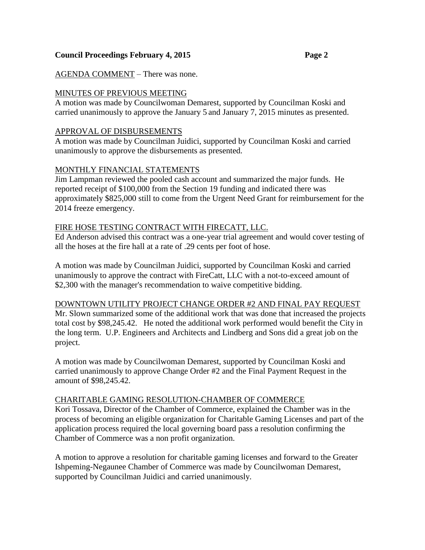# AGENDA COMMENT – There was none.

# MINUTES OF PREVIOUS MEETING

A motion was made by Councilwoman Demarest, supported by Councilman Koski and carried unanimously to approve the January 5 and January 7, 2015 minutes as presented.

## APPROVAL OF DISBURSEMENTS

A motion was made by Councilman Juidici, supported by Councilman Koski and carried unanimously to approve the disbursements as presented.

# MONTHLY FINANCIAL STATEMENTS

Jim Lampman reviewed the pooled cash account and summarized the major funds. He reported receipt of \$100,000 from the Section 19 funding and indicated there was approximately \$825,000 still to come from the Urgent Need Grant for reimbursement for the 2014 freeze emergency.

#### FIRE HOSE TESTING CONTRACT WITH FIRECATT, LLC.

Ed Anderson advised this contract was a one-year trial agreement and would cover testing of all the hoses at the fire hall at a rate of .29 cents per foot of hose.

A motion was made by Councilman Juidici, supported by Councilman Koski and carried unanimously to approve the contract with FireCatt, LLC with a not-to-exceed amount of \$2,300 with the manager's recommendation to waive competitive bidding.

#### DOWNTOWN UTILITY PROJECT CHANGE ORDER #2 AND FINAL PAY REQUEST

Mr. Slown summarized some of the additional work that was done that increased the projects total cost by \$98,245.42. He noted the additional work performed would benefit the City in the long term. U.P. Engineers and Architects and Lindberg and Sons did a great job on the project.

A motion was made by Councilwoman Demarest, supported by Councilman Koski and carried unanimously to approve Change Order #2 and the Final Payment Request in the amount of \$98,245.42.

#### CHARITABLE GAMING RESOLUTION-CHAMBER OF COMMERCE

Kori Tossava, Director of the Chamber of Commerce, explained the Chamber was in the process of becoming an eligible organization for Charitable Gaming Licenses and part of the application process required the local governing board pass a resolution confirming the Chamber of Commerce was a non profit organization.

A motion to approve a resolution for charitable gaming licenses and forward to the Greater Ishpeming-Negaunee Chamber of Commerce was made by Councilwoman Demarest, supported by Councilman Juidici and carried unanimously.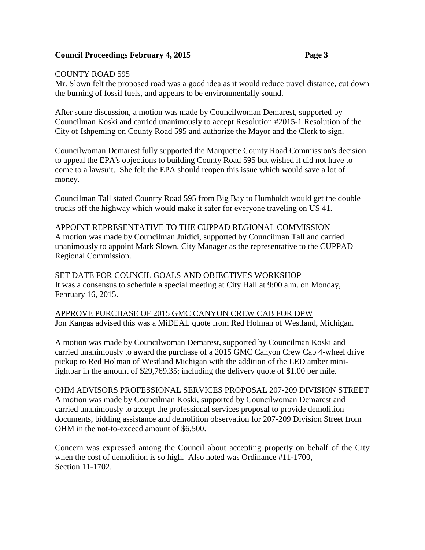### COUNTY ROAD 595

Mr. Slown felt the proposed road was a good idea as it would reduce travel distance, cut down the burning of fossil fuels, and appears to be environmentally sound.

After some discussion, a motion was made by Councilwoman Demarest, supported by Councilman Koski and carried unanimously to accept Resolution #2015-1 Resolution of the City of Ishpeming on County Road 595 and authorize the Mayor and the Clerk to sign.

Councilwoman Demarest fully supported the Marquette County Road Commission's decision to appeal the EPA's objections to building County Road 595 but wished it did not have to come to a lawsuit. She felt the EPA should reopen this issue which would save a lot of money.

Councilman Tall stated Country Road 595 from Big Bay to Humboldt would get the double trucks off the highway which would make it safer for everyone traveling on US 41.

## APPOINT REPRESENTATIVE TO THE CUPPAD REGIONAL COMMISSION

A motion was made by Councilman Juidici, supported by Councilman Tall and carried unanimously to appoint Mark Slown, City Manager as the representative to the CUPPAD Regional Commission.

## SET DATE FOR COUNCIL GOALS AND OBJECTIVES WORKSHOP

It was a consensus to schedule a special meeting at City Hall at 9:00 a.m. on Monday, February 16, 2015.

## APPROVE PURCHASE OF 2015 GMC CANYON CREW CAB FOR DPW Jon Kangas advised this was a MiDEAL quote from Red Holman of Westland, Michigan.

A motion was made by Councilwoman Demarest, supported by Councilman Koski and carried unanimously to award the purchase of a 2015 GMC Canyon Crew Cab 4-wheel drive pickup to Red Holman of Westland Michigan with the addition of the LED amber minilightbar in the amount of \$29,769.35; including the delivery quote of \$1.00 per mile.

#### OHM ADVISORS PROFESSIONAL SERVICES PROPOSAL 207-209 DIVISION STREET

A motion was made by Councilman Koski, supported by Councilwoman Demarest and carried unanimously to accept the professional services proposal to provide demolition documents, bidding assistance and demolition observation for 207-209 Division Street from OHM in the not-to-exceed amount of \$6,500.

Concern was expressed among the Council about accepting property on behalf of the City when the cost of demolition is so high. Also noted was Ordinance #11-1700, Section 11-1702.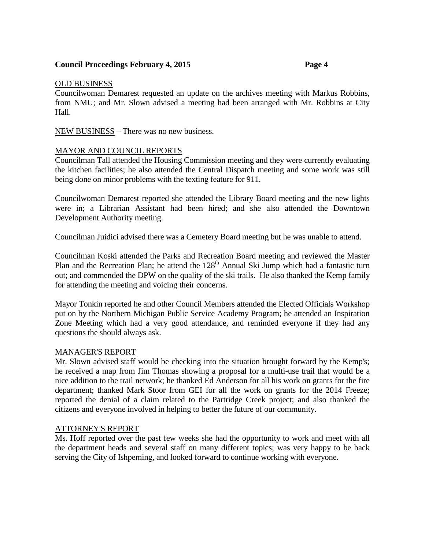#### OLD BUSINESS

Councilwoman Demarest requested an update on the archives meeting with Markus Robbins, from NMU; and Mr. Slown advised a meeting had been arranged with Mr. Robbins at City Hall.

NEW BUSINESS – There was no new business.

## MAYOR AND COUNCIL REPORTS

Councilman Tall attended the Housing Commission meeting and they were currently evaluating the kitchen facilities; he also attended the Central Dispatch meeting and some work was still being done on minor problems with the texting feature for 911.

Councilwoman Demarest reported she attended the Library Board meeting and the new lights were in; a Librarian Assistant had been hired; and she also attended the Downtown Development Authority meeting.

Councilman Juidici advised there was a Cemetery Board meeting but he was unable to attend.

Councilman Koski attended the Parks and Recreation Board meeting and reviewed the Master Plan and the Recreation Plan; he attend the  $128<sup>th</sup>$  Annual Ski Jump which had a fantastic turn out; and commended the DPW on the quality of the ski trails. He also thanked the Kemp family for attending the meeting and voicing their concerns.

Mayor Tonkin reported he and other Council Members attended the Elected Officials Workshop put on by the Northern Michigan Public Service Academy Program; he attended an Inspiration Zone Meeting which had a very good attendance, and reminded everyone if they had any questions the should always ask.

#### MANAGER'S REPORT

Mr. Slown advised staff would be checking into the situation brought forward by the Kemp's; he received a map from Jim Thomas showing a proposal for a multi-use trail that would be a nice addition to the trail network; he thanked Ed Anderson for all his work on grants for the fire department; thanked Mark Stoor from GEI for all the work on grants for the 2014 Freeze; reported the denial of a claim related to the Partridge Creek project; and also thanked the citizens and everyone involved in helping to better the future of our community.

#### ATTORNEY'S REPORT

Ms. Hoff reported over the past few weeks she had the opportunity to work and meet with all the department heads and several staff on many different topics; was very happy to be back serving the City of Ishpeming, and looked forward to continue working with everyone.